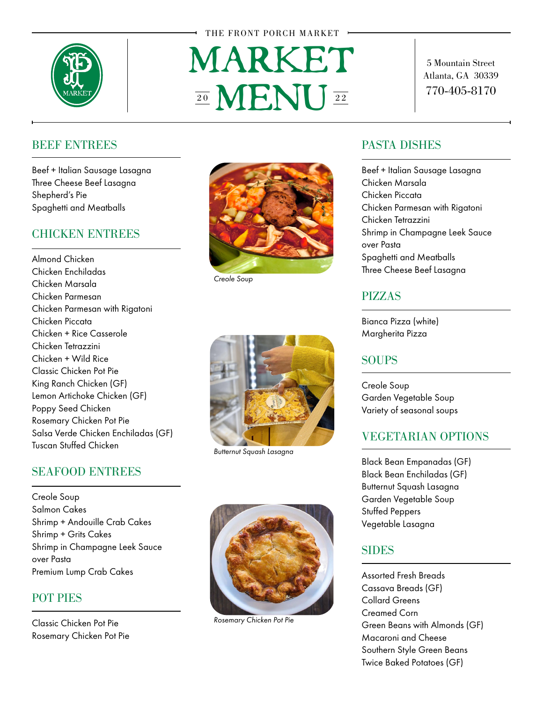

#### THE FRONT PORCH MARKET

# *MARKET MENU* 20 **VI - NI** 22

5 Mountain Street Atlanta, GA 30339 770-405-8170

### BEEF ENTREES

Beef + Italian Sausage Lasagna Three Cheese Beef Lasagna Shepherd's Pie Spaghetti and Meatballs

### CHICKEN ENTREES

Almond Chicken Chicken Enchiladas Chicken Marsala Chicken Parmesan Chicken Parmesan with Rigatoni Chicken Piccata Chicken + Rice Casserole Chicken Tetrazzini Chicken + Wild Rice Classic Chicken Pot Pie King Ranch Chicken (GF) Lemon Artichoke Chicken (GF) Poppy Seed Chicken Rosemary Chicken Pot Pie Salsa Verde Chicken Enchiladas (GF) Tuscan Stuffed Chicken

# SEAFOOD ENTREES

Creole Soup Salmon Cakes Shrimp + Andouille Crab Cakes Shrimp + Grits Cakes Shrimp in Champagne Leek Sauce over Pasta Premium Lump Crab Cakes

## POT PIES

Classic Chicken Pot Pie Rosemary Chicken Pot Pie



*Creole Soup*



*Butternut Squash Lasagna*



*Rosemary Chicken Pot Pie*

#### PASTA DISHES

Beef + Italian Sausage Lasagna Chicken Marsala Chicken Piccata Chicken Parmesan with Rigatoni Chicken Tetrazzini Shrimp in Champagne Leek Sauce over Pasta Spaghetti and Meatballs Three Cheese Beef Lasagna

# PIZZAS

Bianca Pizza (white) Margherita Pizza

#### **SOUPS**

Creole Soup Garden Vegetable Soup Variety of seasonal soups

#### VEGETARIAN OPTIONS

Black Bean Empanadas (GF) Black Bean Enchiladas (GF) Butternut Squash Lasagna Garden Vegetable Soup Stuffed Peppers Vegetable Lasagna

## **SIDES**

Assorted Fresh Breads Cassava Breads (GF) Collard Greens Creamed Corn Green Beans with Almonds (GF) Macaroni and Cheese Southern Style Green Beans Twice Baked Potatoes (GF)